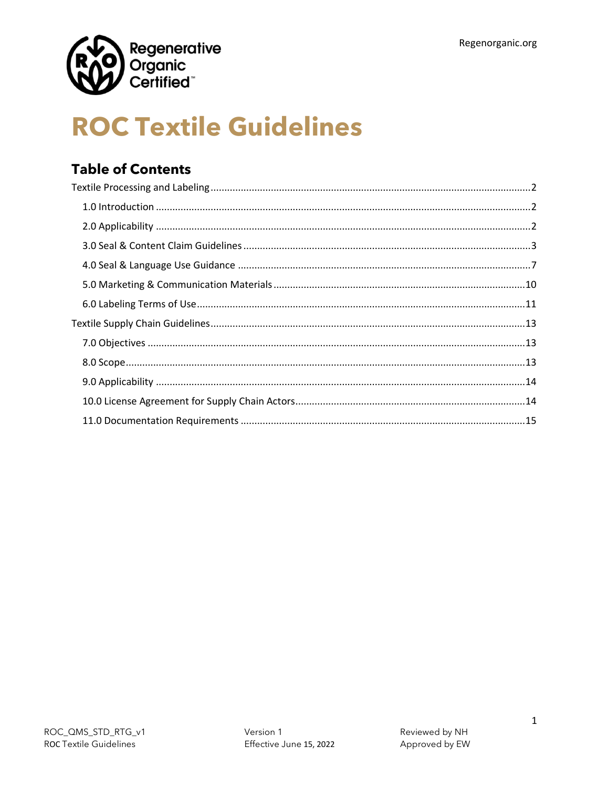

# **ROC Textile Guidelines**

### **Table of Contents**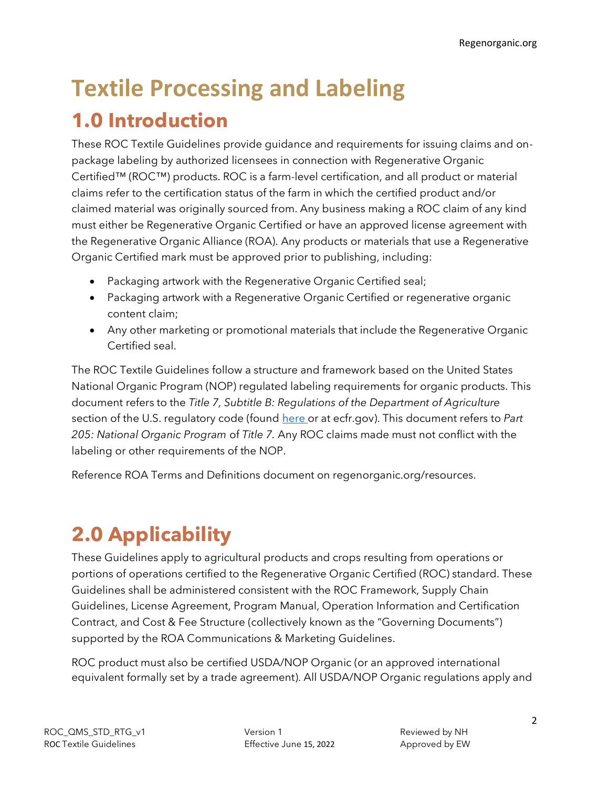## <span id="page-1-0"></span>**Textile Processing and Labeling 1.0 Introduction**

<span id="page-1-1"></span>These ROC Textile Guidelines provide guidance and requirements for issuing claims and onpackage labeling by authorized licensees in connection with Regenerative Organic Certified™ (ROC™) products. ROC is a farm-level certification, and all product or material claims refer to the certification status of the farm in which the certified product and/or claimed material was originally sourced from. Any business making a ROC claim of any kind must either be Regenerative Organic Certified or have an approved license agreement with the Regenerative Organic Alliance (ROA). Any products or materials that use a Regenerative Organic Certified mark must be approved prior to publishing, including:

- Packaging artwork with the Regenerative Organic Certified seal;
- Packaging artwork with a Regenerative Organic Certified or regenerative organic content claim;
- Any other marketing or promotional materials that include the Regenerative Organic Certified seal.

The ROC Textile Guidelines follow a structure and framework based on the United States National Organic Program (NOP) regulated labeling requirements for organic products. This document refers to the *Title 7, Subtitle B: Regulations of the Department of Agriculture* section of the U.S. regulatory code (found [here](https://www.ecfr.gov/cgi-bin/text-idx?SID=c58030d9ab309103ae039521d3c677b8&mc=true&node=pt7.3.205&rgn=div5#sp7.3.205.d) or at ecfr.gov). This document refers to Part *205: National Organic Program* of *Title 7.* Any ROC claims made must not conflict with the labeling or other requirements of the NOP.

Reference ROA Terms and Definitions document on regenorganic.org/resources.

## <span id="page-1-2"></span>**2.0 Applicability**

These Guidelines apply to agricultural products and crops resulting from operations or portions of operations certified to the Regenerative Organic Certified (ROC) standard. These Guidelines shall be administered consistent with the ROC Framework, Supply Chain Guidelines, License Agreement, Program Manual, Operation Information and Certification Contract, and Cost & Fee Structure (collectively known as the "Governing Documents") supported by the ROA Communications & Marketing Guidelines.

ROC product must also be certified USDA/NOP Organic (or an approved international equivalent formally set by a trade agreement). All USDA/NOP Organic regulations apply and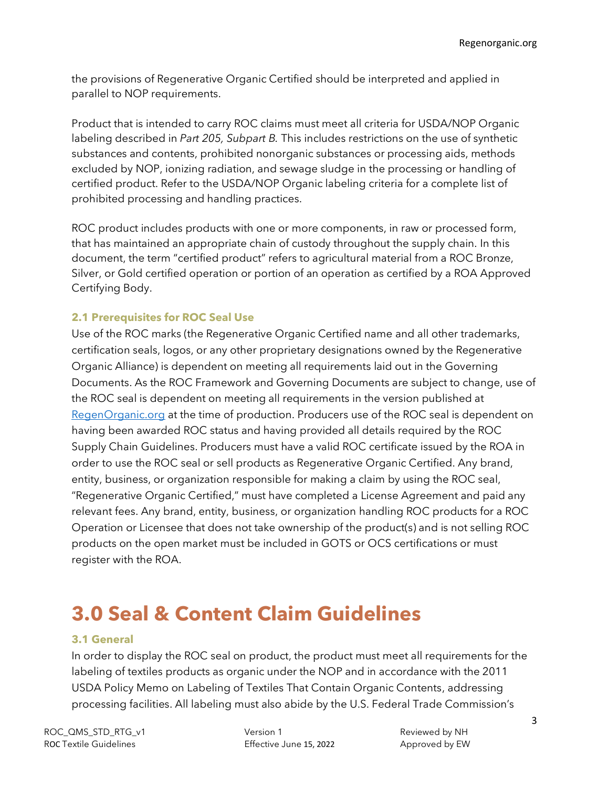the provisions of Regenerative Organic Certified should be interpreted and applied in parallel to NOP requirements.

Product that is intended to carry ROC claims must meet all criteria for USDA/NOP Organic labeling described in *Part 205, Subpart B.* This includes restrictions on the use of synthetic substances and contents, prohibited nonorganic substances or processing aids, methods excluded by NOP, ionizing radiation, and sewage sludge in the processing or handling of certified product. Refer to the USDA/NOP Organic labeling criteria for a complete list of prohibited processing and handling practices.

ROC product includes products with one or more components, in raw or processed form, that has maintained an appropriate chain of custody throughout the supply chain. In this document, the term "certified product" refers to agricultural material from a ROC Bronze, Silver, or Gold certified operation or portion of an operation as certified by a ROA Approved Certifying Body.

### **2.1 Prerequisites for ROC Seal Use**

Use of the ROC marks (the Regenerative Organic Certified name and all other trademarks, certification seals, logos, or any other proprietary designations owned by the Regenerative Organic Alliance) is dependent on meeting all requirements laid out in the Governing Documents. As the ROC Framework and Governing Documents are subject to change, use of the ROC seal is dependent on meeting all requirements in the version published at [RegenOrganic.org](http://regenorganic.org/) at the time of production. Producers use of the ROC seal is dependent on having been awarded ROC status and having provided all details required by the ROC Supply Chain Guidelines. Producers must have a valid ROC certificate issued by the ROA in order to use the ROC seal or sell products as Regenerative Organic Certified. Any brand, entity, business, or organization responsible for making a claim by using the ROC seal, "Regenerative Organic Certified," must have completed a License Agreement and paid any relevant fees. Any brand, entity, business, or organization handling ROC products for a ROC Operation or Licensee that does not take ownership of the product(s) and is not selling ROC products on the open market must be included in GOTS or OCS certifications or must register with the ROA.

### <span id="page-2-0"></span>**3.0 Seal & Content Claim Guidelines**

### **3.1 General**

In order to display the ROC seal on product, the product must meet all requirements for the labeling of textiles products as organic under the NOP and in accordance with the [2011](https://www.ftc.gov/system/files/documents/public_events/975753/nop-pm-11-14-labelingoftextiles.pdf)  [USDA Policy Memo on Labeling of Textiles That Contain Organic Contents,](https://www.ftc.gov/system/files/documents/public_events/975753/nop-pm-11-14-labelingoftextiles.pdf) addressing processing facilities. All labeling must also abide by the U.S. Federal Trade Commission's

ROC\_QMS\_STD\_RTG\_v1 Version 1 Reviewed by NH ROC Textile Guidelines **Effective June 15, 2022** Approved by EW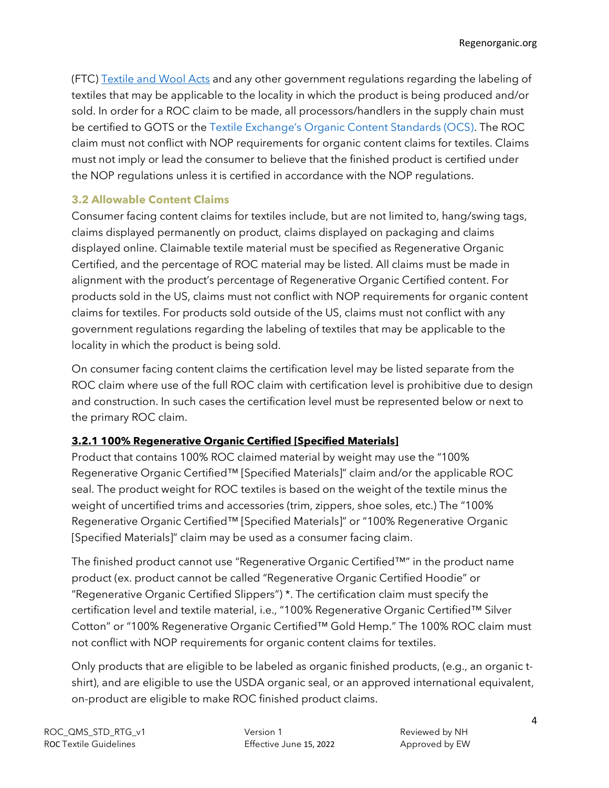(FTC[\) Textile and Wool Acts](https://www.ftc.gov/tips-advice/business-center/guidance/threading-your-way-through-labeling-requirements-under-textile) and any other government regulations regarding the labeling of textiles that may be applicable to the locality in which the product is being produced and/or sold. In order for a ROC claim to be made, all processors/handlers in the supply chain must be certified to GOTS or the [Textile Exchange's Organic Content Standards \(OCS\)](https://textileexchange.org/standards/organic-content-standard/). The ROC claim must not conflict with NOP requirements for organic content claims for textiles. Claims must not imply or lead the consumer to believe that the finished product is certified under the NOP regulations unless it is certified in accordance with the NOP regulations.

### **3.2 Allowable Content Claims**

Consumer facing content claims for textiles include, but are not limited to, hang/swing tags, claims displayed permanently on product, claims displayed on packaging and claims displayed online. Claimable textile material must be specified as Regenerative Organic Certified, and the percentage of ROC material may be listed. All claims must be made in alignment with the product's percentage of Regenerative Organic Certified content. For products sold in the US, claims must not conflict with NOP requirements for organic content claims for textiles. For products sold outside of the US, claims must not conflict with any government regulations regarding the labeling of textiles that may be applicable to the locality in which the product is being sold.

On consumer facing content claims the certification level may be listed separate from the ROC claim where use of the full ROC claim with certification level is prohibitive due to design and construction. In such cases the certification level must be represented below or next to the primary ROC claim.

### **3.2.1 100% Regenerative Organic Certified [Specified Materials]**

Product that contains 100% ROC claimed material by weight may use the "100% Regenerative Organic Certified™ [Specified Materials]" claim and/or the applicable ROC seal. The product weight for ROC textiles is based on the weight of the textile minus the weight of uncertified trims and accessories (trim, zippers, shoe soles, etc.) The "100% Regenerative Organic Certified™ [Specified Materials]" or "100% Regenerative Organic [Specified Materials]" claim may be used as a consumer facing claim.

The finished product cannot use "Regenerative Organic Certified™" in the product name product (ex. product cannot be called "Regenerative Organic Certified Hoodie" or "Regenerative Organic Certified Slippers") \*. The certification claim must specify the certification level and textile material, i.e., "100% Regenerative Organic Certified™ Silver Cotton" or "100% Regenerative Organic Certified™ Gold Hemp." The 100% ROC claim must not conflict with NOP requirements for organic content claims for textiles.

Only products that are eligible to be labeled as organic finished products, (e.g., an organic tshirt), and are eligible to use the USDA organic seal, or an approved international equivalent, on-product are eligible to make ROC finished product claims.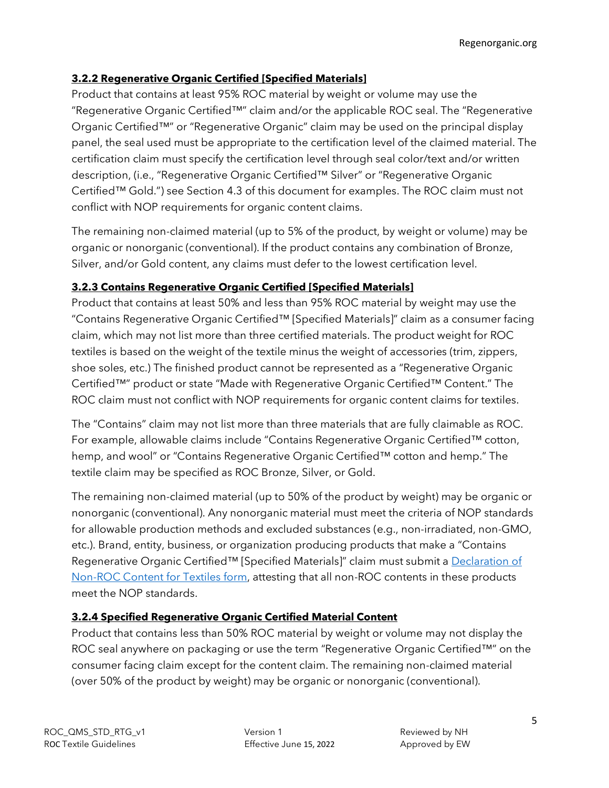### **3.2.2 Regenerative Organic Certified [Specified Materials]**

Product that contains at least 95% ROC material by weight or volume may use the "Regenerative Organic Certified™" claim and/or the applicable ROC seal. The "Regenerative Organic Certified™" or "Regenerative Organic" claim may be used on the principal display panel, the seal used must be appropriate to the certification level of the claimed material. The certification claim must specify the certification level through seal color/text and/or written description, (i.e., "Regenerative Organic Certified™ Silver" or "Regenerative Organic Certified™ Gold.") see Section 4.3 of this document for examples. The ROC claim must not conflict with NOP requirements for organic content claims.

The remaining non-claimed material (up to 5% of the product, by weight or volume) may be organic or nonorganic (conventional). If the product contains any combination of Bronze, Silver, and/or Gold content, any claims must defer to the lowest certification level.

### **3.2.3 Contains Regenerative Organic Certified [Specified Materials]**

Product that contains at least 50% and less than 95% ROC material by weight may use the "Contains Regenerative Organic Certified™ [Specified Materials]" claim as a consumer facing claim, which may not list more than three certified materials. The product weight for ROC textiles is based on the weight of the textile minus the weight of accessories (trim, zippers, shoe soles, etc.) The finished product cannot be represented as a "Regenerative Organic Certified™" product or state "Made with Regenerative Organic Certified™ Content." The ROC claim must not conflict with NOP requirements for organic content claims for textiles.

The "Contains" claim may not list more than three materials that are fully claimable as ROC. For example, allowable claims include "Contains Regenerative Organic Certified™ cotton, hemp, and wool" or "Contains Regenerative Organic Certified™ cotton and hemp." The textile claim may be specified as ROC Bronze, Silver, or Gold.

The remaining non-claimed material (up to 50% of the product by weight) may be organic or nonorganic (conventional). Any nonorganic material must meet the criteria of NOP standards for allowable production methods and excluded substances (e.g., non-irradiated, non-GMO, etc.). Brand, entity, business, or organization producing products that make a "Contains Regenerative Organic Certified™ [Specified Materials]" claim must submit a Declaration of [Non-ROC Content](https://regenorganic.org/wp-content/uploads/2022/06/ROC_Declaration_of_Non-ROC_Content_for_Textiles.pdf) for Textiles form, attesting that all non-ROC contents in these products meet the NOP standards.

### **3.2.4 Specified Regenerative Organic Certified Material Content**

Product that contains less than 50% ROC material by weight or volume may not display the ROC seal anywhere on packaging or use the term "Regenerative Organic Certified™" on the consumer facing claim except for the content claim. The remaining non-claimed material (over 50% of the product by weight) may be organic or nonorganic (conventional).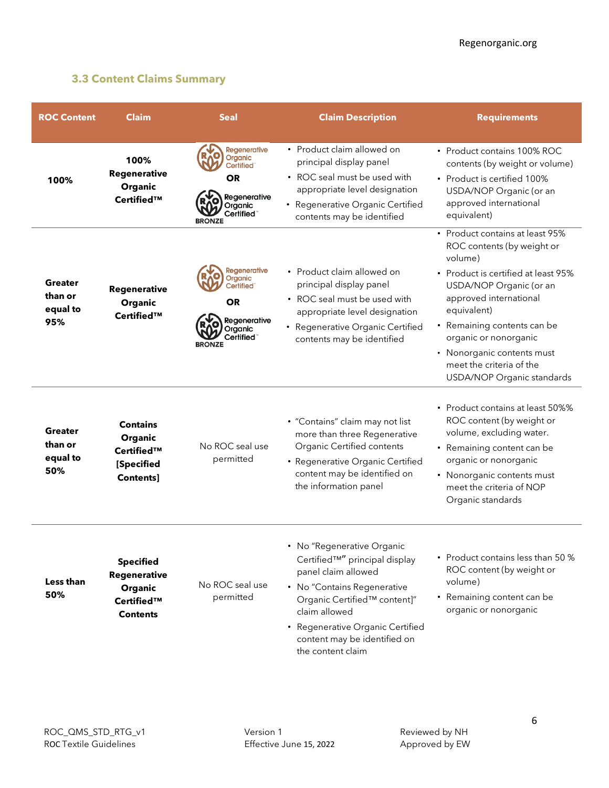### **3.3 Content Claims Summary**

| <b>ROC Content</b>                           | <b>Claim</b>                                                                 | <b>Seal</b>                                                                                                                          | <b>Claim Description</b>                                                                                                                                                                                                                                    | <b>Requirements</b>                                                                                                                                                                                                                                                                                                                 |
|----------------------------------------------|------------------------------------------------------------------------------|--------------------------------------------------------------------------------------------------------------------------------------|-------------------------------------------------------------------------------------------------------------------------------------------------------------------------------------------------------------------------------------------------------------|-------------------------------------------------------------------------------------------------------------------------------------------------------------------------------------------------------------------------------------------------------------------------------------------------------------------------------------|
| 100%                                         | 100%<br>Regenerative<br>Organic<br>Certified™                                | Regenerative<br>Organic<br>Certified <sup>®</sup><br><b>OR</b><br>Regenerative<br>Organic<br>Certified <sup>®</sup><br><b>BRONZE</b> | • Product claim allowed on<br>principal display panel<br>• ROC seal must be used with<br>appropriate level designation<br>• Regenerative Organic Certified<br>contents may be identified                                                                    | • Product contains 100% ROC<br>contents (by weight or volume)<br>• Product is certified 100%<br>USDA/NOP Organic (or an<br>approved international<br>equivalent)                                                                                                                                                                    |
| Greater<br>than or<br>equal to<br>95%        | Regenerative<br>Organic<br>Certified™                                        | <b>Regenerative</b><br>Organic<br>Certified <sup>®</sup><br><b>OR</b><br>Regenerative<br>Organic<br>Certified"<br><b>BRONZE</b>      | • Product claim allowed on<br>principal display panel<br>• ROC seal must be used with<br>appropriate level designation<br>• Regenerative Organic Certified<br>contents may be identified                                                                    | • Product contains at least 95%<br>ROC contents (by weight or<br>volume)<br>• Product is certified at least 95%<br>USDA/NOP Organic (or an<br>approved international<br>equivalent)<br>• Remaining contents can be<br>organic or nonorganic<br>• Nonorganic contents must<br>meet the criteria of the<br>USDA/NOP Organic standards |
| <b>Greater</b><br>than or<br>equal to<br>50% | <b>Contains</b><br>Organic<br>Certified™<br>[Specified<br>Contents]          | No ROC seal use<br>permitted                                                                                                         | • "Contains" claim may not list<br>more than three Regenerative<br>Organic Certified contents<br>• Regenerative Organic Certified<br>content may be identified on<br>the information panel                                                                  | • Product contains at least 50%%<br>ROC content (by weight or<br>volume, excluding water.<br>• Remaining content can be<br>organic or nonorganic<br>• Nonorganic contents must<br>meet the criteria of NOP<br>Organic standards                                                                                                     |
| Less than<br>50%                             | <b>Specified</b><br>Regenerative<br>Organic<br>Certified™<br><b>Contents</b> | No ROC seal use<br>permitted                                                                                                         | • No "Regenerative Organic<br>Certified™" principal display<br>panel claim allowed<br>• No "Contains Regenerative<br>Organic Certified™ content]"<br>claim allowed<br>• Regenerative Organic Certified<br>content may be identified on<br>the content claim | • Product contains less than 50 %<br>ROC content (by weight or<br>volume)<br>• Remaining content can be<br>organic or nonorganic                                                                                                                                                                                                    |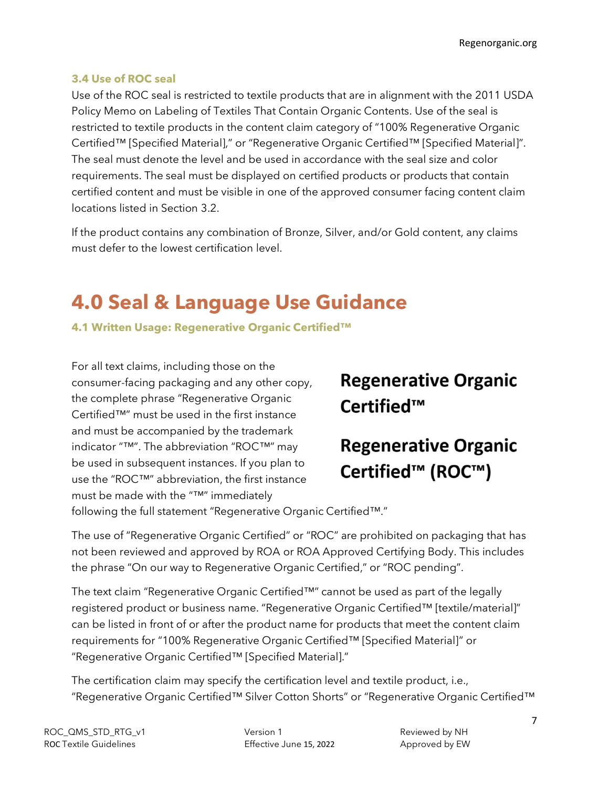### **3.4 Use of ROC seal**

Use of the ROC seal is restricted to textile products that are in alignment with the [2011 USDA](https://www.ftc.gov/system/files/documents/public_events/975753/nop-pm-11-14-labelingoftextiles.pdf)  [Policy Memo on Labeling of Textiles That Contain Organic Contents.](https://www.ftc.gov/system/files/documents/public_events/975753/nop-pm-11-14-labelingoftextiles.pdf) Use of the seal is restricted to textile products in the content claim category of "100% Regenerative Organic Certified™ [Specified Material]," or "Regenerative Organic Certified™ [Specified Material]". The seal must denote the level and be used in accordance with the seal size and color requirements. The seal must be displayed on certified products or products that contain certified content and must be visible in one of the approved consumer facing content claim locations listed in Section 3.2.

If the product contains any combination of Bronze, Silver, and/or Gold content, any claims must defer to the lowest certification level.

## <span id="page-6-0"></span>**4.0 Seal & Language Use Guidance**

**4.1 Written Usage: Regenerative Organic Certified™**

For all text claims, including those on the consumer-facing packaging and any other copy, the complete phrase "Regenerative Organic Certified™" must be used in the first instance and must be accompanied by the trademark indicator "™". The abbreviation "ROC™" may be used in subsequent instances. If you plan to use the "ROC™" abbreviation, the first instance must be made with the "™" immediately

### **Regenerative Organic** Certified™

### **Regenerative Organic** Certified<sup>™</sup> (ROC™)

following the full statement "Regenerative Organic Certified™."

The use of "Regenerative Organic Certified" or "ROC" are prohibited on packaging that has not been reviewed and approved by ROA or ROA Approved Certifying Body. This includes the phrase "On our way to Regenerative Organic Certified," or "ROC pending".

The text claim "Regenerative Organic Certified™" cannot be used as part of the legally registered product or business name. "Regenerative Organic Certified™ [textile/material]" can be listed in front of or after the product name for products that meet the content claim requirements for "100% Regenerative Organic Certified™ [Specified Material]" or "Regenerative Organic Certified™ [Specified Material]."

The certification claim may specify the certification level and textile product, i.e., "Regenerative Organic Certified™ Silver Cotton Shorts" or "Regenerative Organic Certified™

ROC\_QMS\_STD\_RTG\_v1 Version 1 Reviewed by NH ROC Textile Guidelines **Effective June 15, 2022** Approved by EW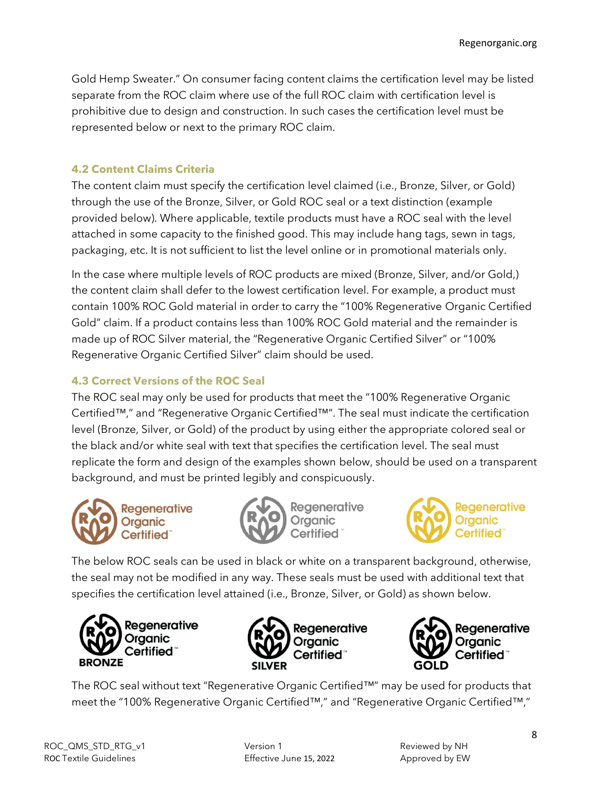Gold Hemp Sweater." On consumer facing content claims the certification level may be listed separate from the ROC claim where use of the full ROC claim with certification level is prohibitive due to design and construction. In such cases the certification level must be represented below or next to the primary ROC claim.

### **4.2 Content Claims Criteria**

The content claim must specify the certification level claimed (i.e., Bronze, Silver, or Gold) through the use of the Bronze, Silver, or Gold ROC seal or a text distinction (example provided below). Where applicable, textile products must have a ROC seal with the level attached in some capacity to the finished good. This may include hang tags, sewn in tags, packaging, etc. It is not sufficient to list the level online or in promotional materials only.

In the case where multiple levels of ROC products are mixed (Bronze, Silver, and/or Gold,) the content claim shall defer to the lowest certification level. For example, a product must contain 100% ROC Gold material in order to carry the "100% Regenerative Organic Certified Gold" claim. If a product contains less than 100% ROC Gold material and the remainder is made up of ROC Silver material, the "Regenerative Organic Certified Silver" or "100% Regenerative Organic Certified Silver" claim should be used.

### **4.3 Correct Versions of the ROC Seal**

The ROC seal may only be used for products that meet the "100% Regenerative Organic Certified™," and "Regenerative Organic Certified™". The seal must indicate the certification level (Bronze, Silver, or Gold) of the product by using either the appropriate colored seal or the black and/or white seal with text that specifies the certification level. The seal must replicate the form and design of the examples shown below, should be used on a transparent background, and must be printed legibly and conspicuously.







The below ROC seals can be used in black or white on a transparent background, otherwise, the seal may not be modified in any way. These seals must be used with additional text that specifies the certification level attained (i.e., Bronze, Silver, or Gold) as shown below.







The ROC seal without text "Regenerative Organic Certified™" may be used for products that meet the "100% Regenerative Organic Certified™," and "Regenerative Organic Certified™,"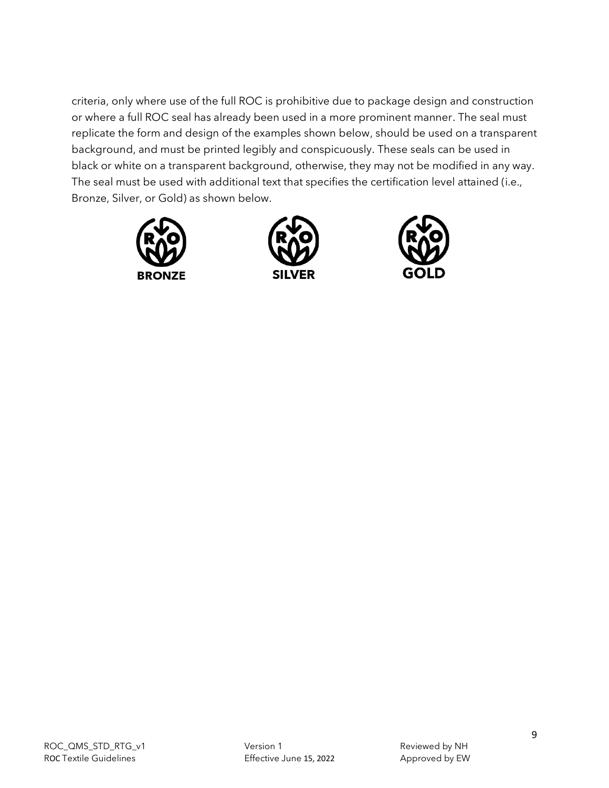criteria, only where use of the full ROC is prohibitive due to package design and construction or where a full ROC seal has already been used in a more prominent manner. The seal must replicate the form and design of the examples shown below, should be used on a transparent background, and must be printed legibly and conspicuously. These seals can be used in black or white on a transparent background, otherwise, they may not be modified in any way. The seal must be used with additional text that specifies the certification level attained (i.e., Bronze, Silver, or Gold) as shown below.





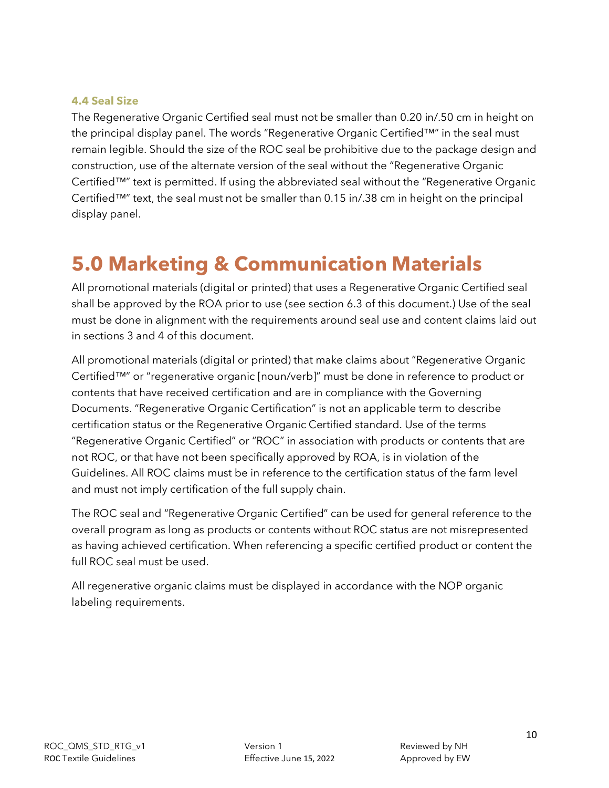#### **4.4 Seal Size**

The Regenerative Organic Certified seal must not be smaller than 0.20 in/.50 cm in height on the principal display panel. The words "Regenerative Organic Certified™" in the seal must remain legible. Should the size of the ROC seal be prohibitive due to the package design and construction, use of the alternate version of the seal without the "Regenerative Organic Certified™" text is permitted. If using the abbreviated seal without the "Regenerative Organic Certified™" text, the seal must not be smaller than 0.15 in/.38 cm in height on the principal display panel.

### <span id="page-9-0"></span>**5.0 Marketing & Communication Materials**

All promotional materials (digital or printed) that uses a Regenerative Organic Certified seal shall be approved by the ROA prior to use (see section 6.3 of this document.) Use of the seal must be done in alignment with the requirements around seal use and content claims laid out in sections 3 and 4 of this document.

All promotional materials (digital or printed) that make claims about "Regenerative Organic Certified™" or "regenerative organic [noun/verb]" must be done in reference to product or contents that have received certification and are in compliance with the Governing Documents. "Regenerative Organic Certification" is not an applicable term to describe certification status or the Regenerative Organic Certified standard. Use of the terms "Regenerative Organic Certified" or "ROC" in association with products or contents that are not ROC, or that have not been specifically approved by ROA, is in violation of the Guidelines. All ROC claims must be in reference to the certification status of the farm level and must not imply certification of the full supply chain.

The ROC seal and "Regenerative Organic Certified" can be used for general reference to the overall program as long as products or contents without ROC status are not misrepresented as having achieved certification. When referencing a specific certified product or content the full ROC seal must be used.

All regenerative organic claims must be displayed in accordance with the NOP organic labeling requirements.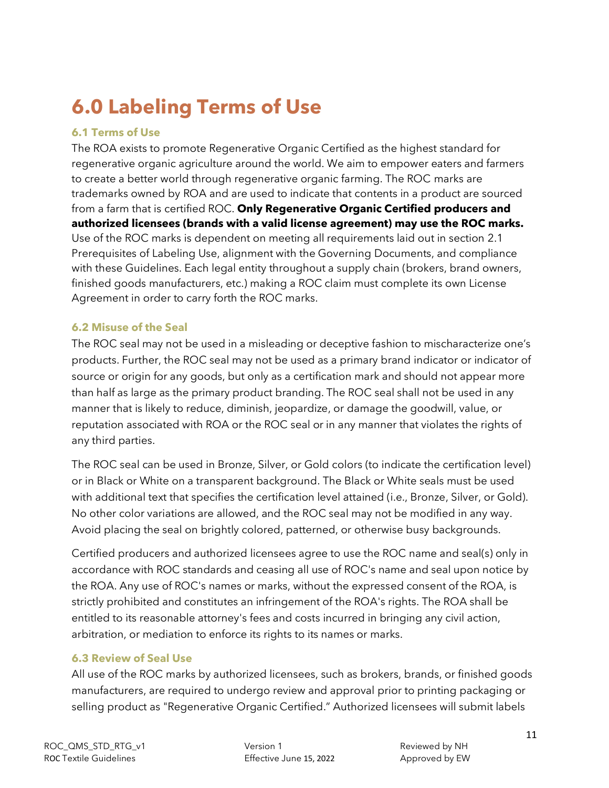## <span id="page-10-0"></span>**6.0 Labeling Terms of Use**

### **6.1 Terms of Use**

The ROA exists to promote Regenerative Organic Certified as the highest standard for regenerative organic agriculture around the world. We aim to empower eaters and farmers to create a better world through regenerative organic farming. The ROC marks are trademarks owned by ROA and are used to indicate that contents in a product are sourced from a farm that is certified ROC. **Only Regenerative Organic Certified producers and authorized licensees (brands with a valid license agreement) may use the ROC marks.** Use of the ROC marks is dependent on meeting all requirements laid out in section 2.1 Prerequisites of Labeling Use, alignment with the Governing Documents, and compliance with these Guidelines. Each legal entity throughout a supply chain (brokers, brand owners, finished goods manufacturers, etc.) making a ROC claim must complete its own License Agreement in order to carry forth the ROC marks.

### **6.2 Misuse of the Seal**

The ROC seal may not be used in a misleading or deceptive fashion to mischaracterize one's products. Further, the ROC seal may not be used as a primary brand indicator or indicator of source or origin for any goods, but only as a certification mark and should not appear more than half as large as the primary product branding. The ROC seal shall not be used in any manner that is likely to reduce, diminish, jeopardize, or damage the goodwill, value, or reputation associated with ROA or the ROC seal or in any manner that violates the rights of any third parties.

The ROC seal can be used in Bronze, Silver, or Gold colors (to indicate the certification level) or in Black or White on a transparent background. The Black or White seals must be used with additional text that specifies the certification level attained (i.e., Bronze, Silver, or Gold). No other color variations are allowed, and the ROC seal may not be modified in any way. Avoid placing the seal on brightly colored, patterned, or otherwise busy backgrounds.

Certified producers and authorized licensees agree to use the ROC name and seal(s) only in accordance with ROC standards and ceasing all use of ROC's name and seal upon notice by the ROA. Any use of ROC's names or marks, without the expressed consent of the ROA, is strictly prohibited and constitutes an infringement of the ROA's rights. The ROA shall be entitled to its reasonable attorney's fees and costs incurred in bringing any civil action, arbitration, or mediation to enforce its rights to its names or marks.

### **6.3 Review of Seal Use**

All use of the ROC marks by authorized licensees, such as brokers, brands, or finished goods manufacturers, are required to undergo review and approval prior to printing packaging or selling product as "Regenerative Organic Certified." Authorized licensees will submit labels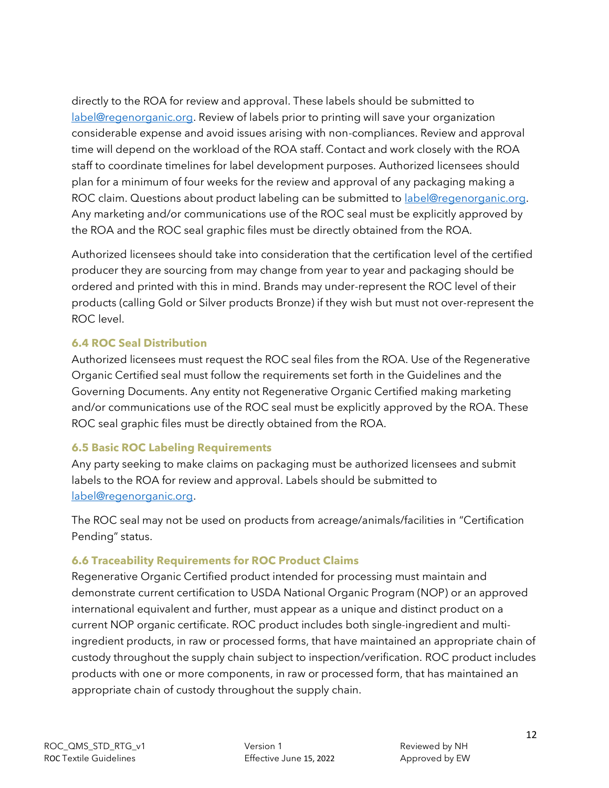directly to the ROA for review and approval. These labels should be submitted to [label@regenorganic.org.](mailto:label@regenorganic.org) Review of labels prior to printing will save your organization considerable expense and avoid issues arising with non-compliances. Review and approval time will depend on the workload of the ROA staff. Contact and work closely with the ROA staff to coordinate timelines for label development purposes. Authorized licensees should plan for a minimum of four weeks for the review and approval of any packaging making a ROC claim. Questions about product labeling can be submitted t[o label@regenorganic.org.](mailto:label@regenorganic.org) Any marketing and/or communications use of the ROC seal must be explicitly approved by the ROA and the ROC seal graphic files must be directly obtained from the ROA.

Authorized licensees should take into consideration that the certification level of the certified producer they are sourcing from may change from year to year and packaging should be ordered and printed with this in mind. Brands may under-represent the ROC level of their products (calling Gold or Silver products Bronze) if they wish but must not over-represent the ROC level.

### **6.4 ROC Seal Distribution**

Authorized licensees must request the ROC seal files from the ROA. Use of the Regenerative Organic Certified seal must follow the requirements set forth in the Guidelines and the Governing Documents. Any entity not Regenerative Organic Certified making marketing and/or communications use of the ROC seal must be explicitly approved by the ROA. These ROC seal graphic files must be directly obtained from the ROA.

### **6.5 Basic ROC Labeling Requirements**

Any party seeking to make claims on packaging must be authorized licensees and submit labels to the ROA for review and approval. Labels should be submitted to [label@regenorganic.org.](mailto:label@regenorganic.org)

The ROC seal may not be used on products from acreage/animals/facilities in "Certification Pending" status.

### **6.6 Traceability Requirements for ROC Product Claims**

Regenerative Organic Certified product intended for processing must maintain and demonstrate current certification to USDA National Organic Program (NOP) or an approved international equivalent and further, must appear as a unique and distinct product on a current NOP organic certificate. ROC product includes both single-ingredient and multiingredient products, in raw or processed forms, that have maintained an appropriate chain of custody throughout the supply chain subject to inspection/verification. ROC product includes products with one or more components, in raw or processed form, that has maintained an appropriate chain of custody throughout the supply chain.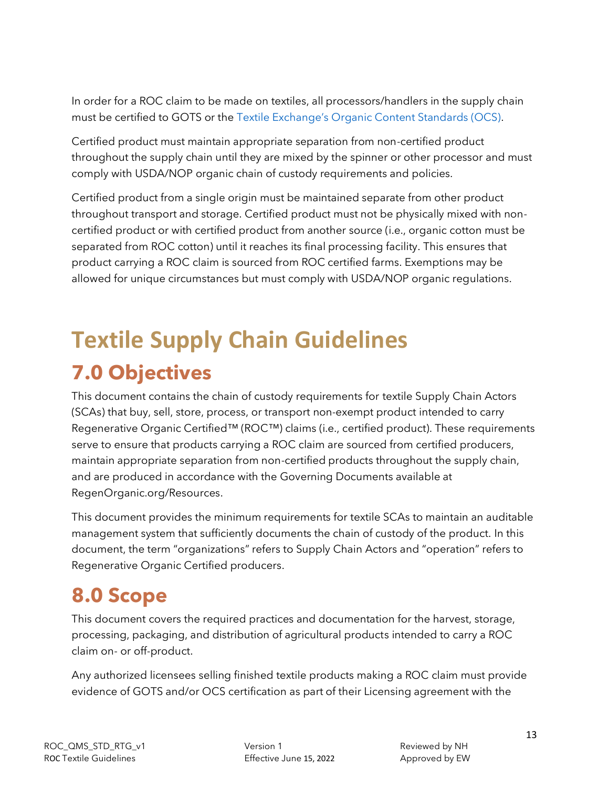In order for a ROC claim to be made on textiles, all processors/handlers in the supply chain must be certified to GOTS or the [Textile Exchange's Organic Content Standards \(OCS\)](https://textileexchange.org/standards/organic-content-standard/).

Certified product must maintain appropriate separation from non-certified product throughout the supply chain until they are mixed by the spinner or other processor and must comply with USDA/NOP organic chain of custody requirements and policies.

Certified product from a single origin must be maintained separate from other product throughout transport and storage. Certified product must not be physically mixed with noncertified product or with certified product from another source (i.e., organic cotton must be separated from ROC cotton) until it reaches its final processing facility. This ensures that product carrying a ROC claim is sourced from ROC certified farms. Exemptions may be allowed for unique circumstances but must comply with USDA/NOP organic regulations.

# <span id="page-12-0"></span>**Textile Supply Chain Guidelines 7.0 Objectives**

<span id="page-12-1"></span>This document contains the chain of custody requirements for textile Supply Chain Actors (SCAs) that buy, sell, store, process, or transport non-exempt product intended to carry Regenerative Organic Certified™ (ROC™) claims (i.e., certified product). These requirements serve to ensure that products carrying a ROC claim are sourced from certified producers, maintain appropriate separation from non-certified products throughout the supply chain, and are produced in accordance with the Governing Documents available at RegenOrganic.org/Resources.

This document provides the minimum requirements for textile SCAs to maintain an auditable management system that sufficiently documents the chain of custody of the product. In this document, the term "organizations" refers to Supply Chain Actors and "operation" refers to Regenerative Organic Certified producers.

## <span id="page-12-2"></span>**8.0 Scope**

This document covers the required practices and documentation for the harvest, storage, processing, packaging, and distribution of agricultural products intended to carry a ROC claim on- or off-product.

Any authorized licensees selling finished textile products making a ROC claim must provide evidence of GOTS and/or OCS certification as part of their Licensing agreement with the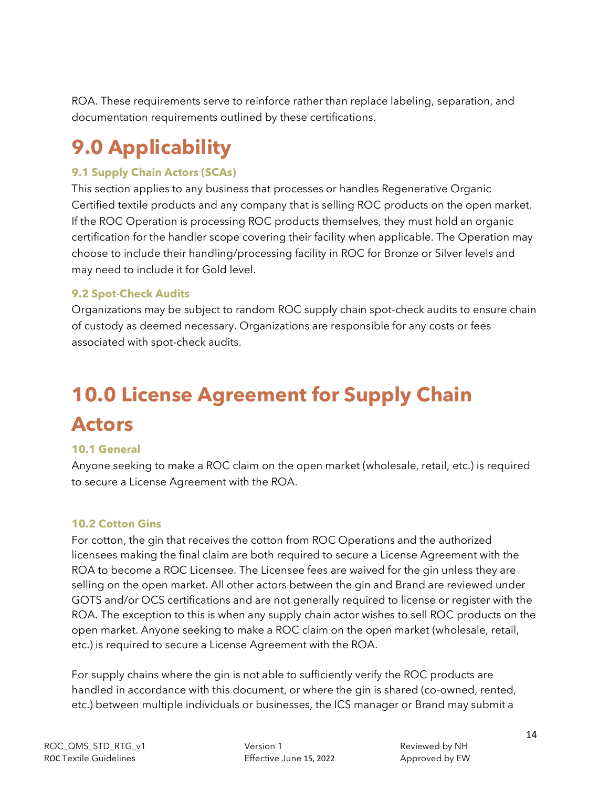ROA. These requirements serve to reinforce rather than replace labeling, separation, and documentation requirements outlined by these certifications.

## <span id="page-13-0"></span>**9.0 Applicability**

### **9.1 Supply Chain Actors (SCAs)**

This section applies to any business that processes or handles Regenerative Organic Certified textile products and any company that is selling ROC products on the open market. If the ROC Operation is processing ROC products themselves, they must hold an organic certification for the handler scope covering their facility when applicable. The Operation may choose to include their handling/processing facility in ROC for Bronze or Silver levels and may need to include it for Gold level.

### **9.2 Spot-Check Audits**

Organizations may be subject to random ROC supply chain spot-check audits to ensure chain of custody as deemed necessary. Organizations are responsible for any costs or fees associated with spot-check audits.

## <span id="page-13-1"></span>**10.0 License Agreement for Supply Chain Actors**

### **10.1 General**

Anyone seeking to make a ROC claim on the open market (wholesale, retail, etc.) is required to secure a License Agreement with the ROA.

### **10.2 Cotton Gins**

For cotton, the gin that receives the cotton from ROC Operations and the authorized licensees making the final claim are both required to secure a License Agreement with the ROA to become a ROC Licensee. The Licensee fees are waived for the gin unless they are selling on the open market. All other actors between the gin and Brand are reviewed under GOTS and/or OCS certifications and are not generally required to license or register with the ROA. The exception to this is when any supply chain actor wishes to sell ROC products on the open market. Anyone seeking to make a ROC claim on the open market (wholesale, retail, etc.) is required to secure a License Agreement with the ROA.

For supply chains where the gin is not able to sufficiently verify the ROC products are handled in accordance with this document, or where the gin is shared (co-owned, rented, etc.) between multiple individuals or businesses, the ICS manager or Brand may submit a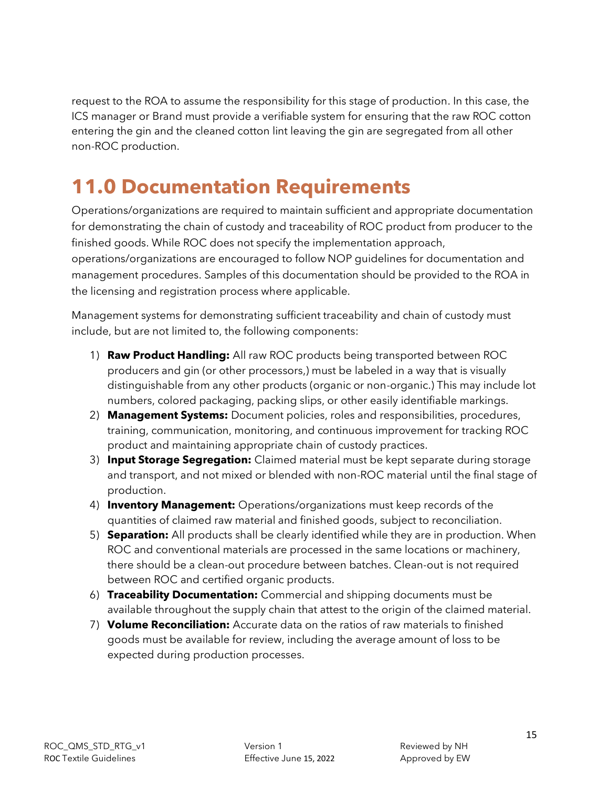request to the ROA to assume the responsibility for this stage of production. In this case, the ICS manager or Brand must provide a verifiable system for ensuring that the raw ROC cotton entering the gin and the cleaned cotton lint leaving the gin are segregated from all other non-ROC production.

### <span id="page-14-0"></span>**11.0 Documentation Requirements**

Operations/organizations are required to maintain sufficient and appropriate documentation for demonstrating the chain of custody and traceability of ROC product from producer to the finished goods. While ROC does not specify the implementation approach, operations/organizations are encouraged to follow NOP guidelines for documentation and management procedures. Samples of this documentation should be provided to the ROA in the licensing and registration process where applicable.

Management systems for demonstrating sufficient traceability and chain of custody must include, but are not limited to, the following components:

- 1) **Raw Product Handling:** All raw ROC products being transported between ROC producers and gin (or other processors,) must be labeled in a way that is visually distinguishable from any other products (organic or non-organic.) This may include lot numbers, colored packaging, packing slips, or other easily identifiable markings.
- 2) **Management Systems:** Document policies, roles and responsibilities, procedures, training, communication, monitoring, and continuous improvement for tracking ROC product and maintaining appropriate chain of custody practices.
- 3) **Input Storage Segregation:** Claimed material must be kept separate during storage and transport, and not mixed or blended with non-ROC material until the final stage of production.
- 4) **Inventory Management:** Operations/organizations must keep records of the quantities of claimed raw material and finished goods, subject to reconciliation.
- 5) **Separation:** All products shall be clearly identified while they are in production. When ROC and conventional materials are processed in the same locations or machinery, there should be a clean-out procedure between batches. Clean-out is not required between ROC and certified organic products.
- 6) **Traceability Documentation:** Commercial and shipping documents must be available throughout the supply chain that attest to the origin of the claimed material.
- 7) **Volume Reconciliation:** Accurate data on the ratios of raw materials to finished goods must be available for review, including the average amount of loss to be expected during production processes.